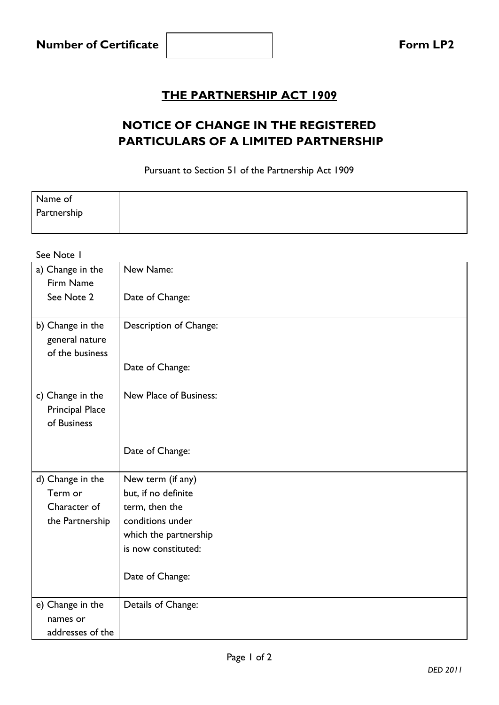## **THE PARTNERSHIP ACT 1909**

## **NOTICE OF CHANGE IN THE REGISTERED PARTICULARS OF A LIMITED PARTNERSHIP**

Pursuant to Section 51 of the Partnership Act 1909

| Name of     |  |
|-------------|--|
| Partnership |  |
|             |  |

## See Note 1 a) Change in the Firm Name See Note 2 New Name: Date of Change: b) Change in the general nature of the business Description of Change: Date of Change: c) Change in the Principal Place of Business New Place of Business: Date of Change: d) Change in the Term or Character of the Partnership New term (if any) but, if no definite term, then the conditions under which the partnership is now constituted: Date of Change: e) Change in the names or addresses of the Details of Change: